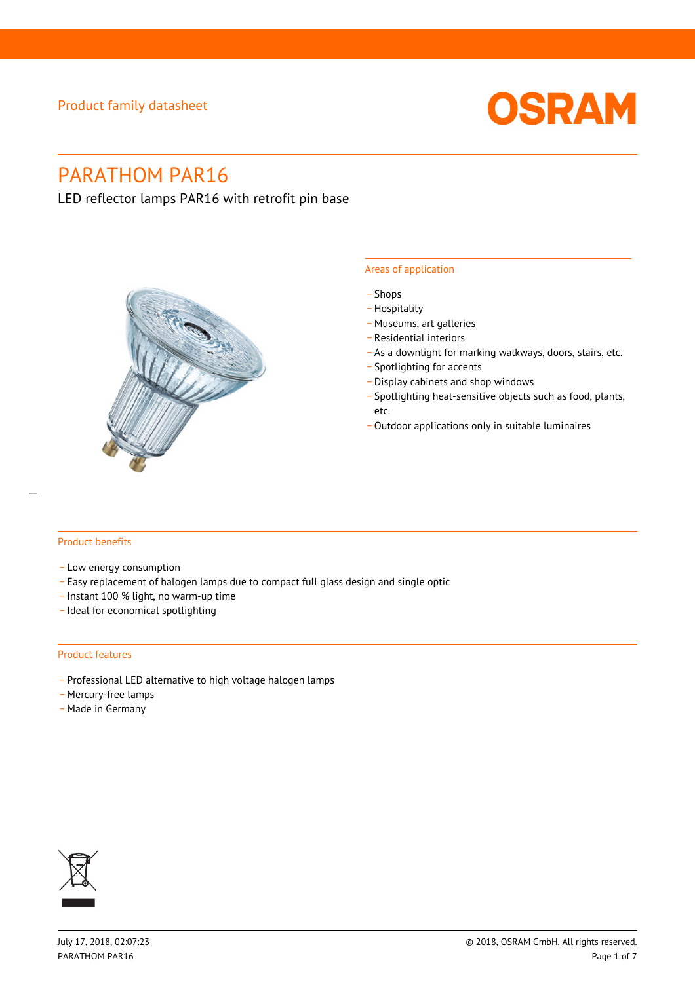# Product family datasheet



# PARATHOM PAR16

LED reflector lamps PAR16 with retrofit pin base



## Areas of application

- \_ Shops
- \_ Hospitality
- \_ Museums, art galleries
- \_ Residential interiors
- \_ As a downlight for marking walkways, doors, stairs, etc.
- \_ Spotlighting for accents
- \_ Display cabinets and shop windows
- \_ Spotlighting heat-sensitive objects such as food, plants, etc.
- Outdoor applications only in suitable luminaires

## Product benefits

- Low energy consumption
- \_ Easy replacement of halogen lamps due to compact full glass design and single optic
- \_ Instant 100 % light, no warm-up time
- \_ Ideal for economical spotlighting

#### Product features

- \_ Professional LED alternative to high voltage halogen lamps
- Mercury-free lamps
- Made in Germany

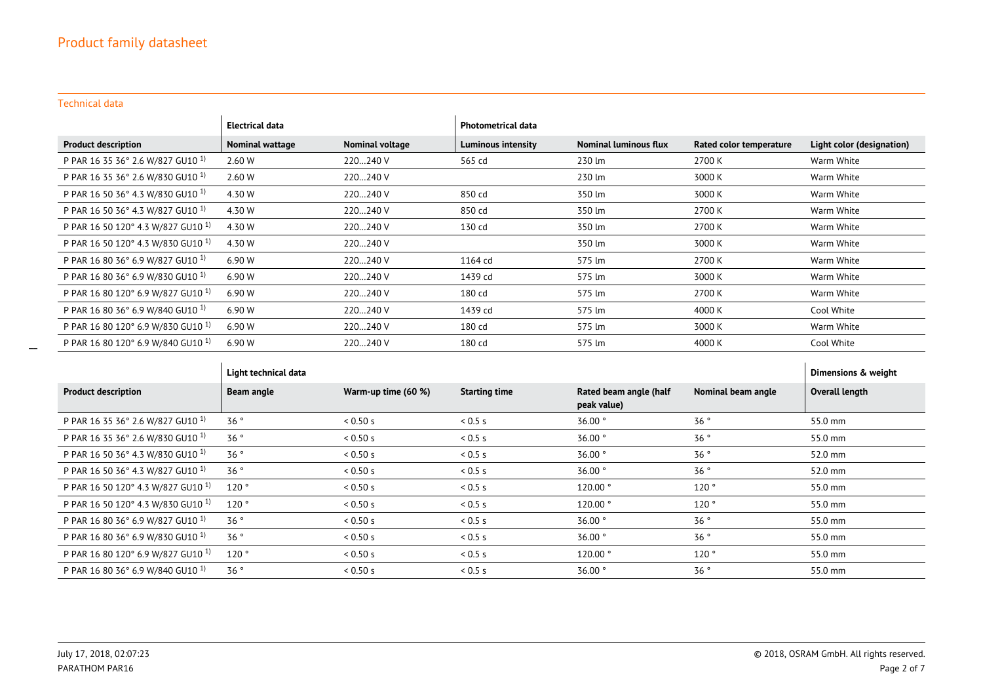Technical data

\_\_

|                                               | Electrical data |                 | <b>Photometrical data</b> |                              |                         |                           |
|-----------------------------------------------|-----------------|-----------------|---------------------------|------------------------------|-------------------------|---------------------------|
| <b>Product description</b>                    | Nominal wattage | Nominal voltage | <b>Luminous intensity</b> | <b>Nominal luminous flux</b> | Rated color temperature | Light color (designation) |
| P PAR 16 35 36° 2.6 W/827 GU10 <sup>1)</sup>  | 2.60 W          | 220240 V        | 565 cd                    | 230 lm                       | 2700 K                  | Warm White                |
| P PAR 16 35 36° 2.6 W/830 GU10 1)             | 2.60 W          | 220240 V        |                           | 230 lm                       | 3000 K                  | Warm White                |
| P PAR 16 50 36° 4.3 W/830 GU10 <sup>1)</sup>  | 4.30 W          | 220240 V        | 850 cd                    | 350 lm                       | 3000 K                  | Warm White                |
| P PAR 16 50 36° 4.3 W/827 GU10 <sup>1)</sup>  | 4.30 W          | 220240 V        | 850 cd                    | 350 lm                       | 2700 K                  | Warm White                |
| P PAR 16 50 120° 4.3 W/827 GU10 <sup>1)</sup> | 4.30 W          | 220240 V        | 130 cd                    | 350 lm                       | 2700 K                  | Warm White                |
| P PAR 16 50 120° 4.3 W/830 GU10 <sup>1)</sup> | 4.30 W          | 220240 V        |                           | 350 lm                       | 3000 K                  | Warm White                |
| P PAR 16 80 36° 6.9 W/827 GU10 <sup>1)</sup>  | 6.90 W          | 220240 V        | 1164 cd                   | 575 lm                       | 2700 K                  | Warm White                |
| P PAR 16 80 36° 6.9 W/830 GU10 <sup>1)</sup>  | 6.90 W          | 220240 V        | 1439 cd                   | 575 lm                       | 3000 K                  | Warm White                |
| P PAR 16 80 120° 6.9 W/827 GU10 <sup>1)</sup> | 6.90 W          | 220240 V        | 180 cd                    | 575 lm                       | 2700 K                  | Warm White                |
| P PAR 16 80 36° 6.9 W/840 GU10 <sup>1)</sup>  | 6.90 W          | 220240 V        | 1439 cd                   | 575 lm                       | 4000 K                  | Cool White                |
| P PAR 16 80 120° 6.9 W/830 GU10 <sup>1)</sup> | 6.90 W          | 220240 V        | 180 cd                    | 575 lm                       | 3000 K                  | Warm White                |
| P PAR 16 80 120° 6.9 W/840 GU10 <sup>1)</sup> | 6.90 W          | 220240 V        | 180 cd                    | 575 lm                       | 4000 K                  | Cool White                |

|                                               | Light technical data |                     |                      |                                       |                    | Dimensions & weight |
|-----------------------------------------------|----------------------|---------------------|----------------------|---------------------------------------|--------------------|---------------------|
| <b>Product description</b>                    | <b>Beam angle</b>    | Warm-up time (60 %) | <b>Starting time</b> | Rated beam angle (half<br>peak value) | Nominal beam angle | Overall length      |
| P PAR 16 35 36° 2.6 W/827 GU10 <sup>1)</sup>  | 36°                  | 0.50 s              | 0.5s                 | 36.00°                                | 36°                | 55.0 mm             |
| P PAR 16 35 36° 2.6 W/830 GU10 <sup>1)</sup>  | 36°                  | 0.50 s              | 0.5 s                | 36.00°                                | 36°                | 55.0 mm             |
| P PAR 16 50 36° 4.3 W/830 GU10 <sup>1)</sup>  | 36°                  | 0.50 s              | 0.5 s                | 36.00°                                | 36°                | 52.0 mm             |
| P PAR 16 50 36° 4.3 W/827 GU10 <sup>1)</sup>  | 36°                  | 0.50 s              | 0.5s                 | 36.00°                                | 36°                | 52.0 mm             |
| P PAR 16 50 120° 4.3 W/827 GU10 <sup>1)</sup> | 120°                 | 0.50 s              | 0.5 s                | 120.00°                               | 120°               | 55.0 mm             |
| P PAR 16 50 120° 4.3 W/830 GU10 <sup>1)</sup> | 120°                 | 0.50 s              | 0.5s                 | 120.00°                               | 120°               | 55.0 mm             |
| P PAR 16 80 36° 6.9 W/827 GU10 <sup>1)</sup>  | 36°                  | 0.50 s              | 0.5 s                | $36.00$ °                             | 36°                | 55.0 mm             |
| P PAR 16 80 36° 6.9 W/830 GU10 <sup>1)</sup>  | 36°                  | 0.50 s              | 0.5s                 | $36.00$ °                             | 36°                | 55.0 mm             |
| P PAR 16 80 120° 6.9 W/827 GU10 <sup>1)</sup> | 120°                 | 0.50 s              | 0.5 s                | 120.00°                               | 120°               | 55.0 mm             |
| P PAR 16 80 36° 6.9 W/840 GU10 <sup>1)</sup>  | 36°                  | 0.50 s              | 0.5s                 | 36.00°                                | 36°                | 55.0 mm             |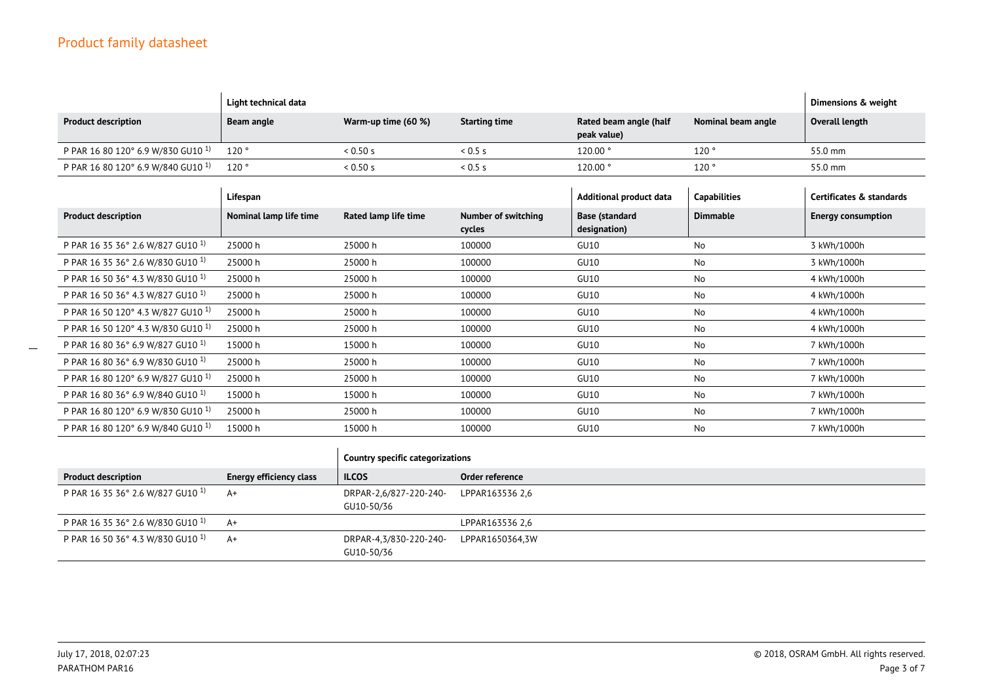|                                               | Light technical data   |                      |                                      |                                       |                     | Dimensions & weight       |
|-----------------------------------------------|------------------------|----------------------|--------------------------------------|---------------------------------------|---------------------|---------------------------|
| <b>Product description</b>                    | <b>Beam angle</b>      | Warm-up time (60 %)  | <b>Starting time</b>                 | Rated beam angle (half<br>peak value) | Nominal beam angle  | Overall length            |
| P PAR 16 80 120° 6.9 W/830 GU10 <sup>1)</sup> | 120°                   | 0.50 s               | 0.5s                                 | 120.00°                               | 120°                | 55.0 mm                   |
| P PAR 16 80 120° 6.9 W/840 GU10 1)            | 120°                   | 0.50 s               | 0.5s                                 | 120.00 °                              | 120°                | 55.0 mm                   |
|                                               | Lifespan               |                      |                                      | Additional product data               | <b>Capabilities</b> | Certificates & standards  |
| <b>Product description</b>                    | Nominal lamp life time | Rated lamp life time | <b>Number of switching</b><br>cycles | <b>Base (standard</b><br>designation) | <b>Dimmable</b>     | <b>Energy consumption</b> |
| P PAR 16 35 36° 2.6 W/827 GU10 <sup>1)</sup>  | 25000 h                | 25000h               | 100000                               | <b>GU10</b>                           | No                  | 3 kWh/1000h               |
| P PAR 16 35 36° 2.6 W/830 GU10 <sup>1)</sup>  | 25000 h                | 25000h               | 100000                               | <b>GU10</b>                           | No                  | 3 kWh/1000h               |
| P PAR 16 50 36° 4.3 W/830 GU10 <sup>1)</sup>  | 25000 h                | 25000 h              | 100000                               | <b>GU10</b>                           | No                  | 4 kWh/1000h               |
| P PAR 16 50 36° 4.3 W/827 GU10 <sup>1)</sup>  | 25000 h                | 25000h               | 100000                               | <b>GU10</b>                           | No                  | 4 kWh/1000h               |
| P PAR 16 50 120° 4.3 W/827 GU10 <sup>1)</sup> | 25000 h                | 25000 h              | 100000                               | <b>GU10</b>                           | No                  | 4 kWh/1000h               |
| P PAR 16 50 120° 4.3 W/830 GU10 <sup>1)</sup> | 25000 h                | 25000h               | 100000                               | <b>GU10</b>                           | No                  | 4 kWh/1000h               |
| P PAR 16 80 36° 6.9 W/827 GU10 <sup>1)</sup>  | 15000 h                | 15000 h              | 100000                               | <b>GU10</b>                           | No                  | 7 kWh/1000h               |
| P PAR 16 80 36° 6.9 W/830 GU10 <sup>1)</sup>  | 25000 h                | 25000 h              | 100000                               | <b>GU10</b>                           | No                  | 7 kWh/1000h               |
| P PAR 16 80 120° 6.9 W/827 GU10 <sup>1)</sup> | 25000 h                | 25000 h              | 100000                               | <b>GU10</b>                           | No                  | 7 kWh/1000h               |
| P PAR 16 80 36° 6.9 W/840 GU10 <sup>1)</sup>  | 15000 h                | 15000 h              | 100000                               | <b>GU10</b>                           | No                  | 7 kWh/1000h               |
| P PAR 16 80 120° 6.9 W/830 GU10 <sup>1)</sup> | 25000 h                | 25000 h              | 100000                               | <b>GU10</b>                           | No                  | 7 kWh/1000h               |
| P PAR 16 80 120° 6.9 W/840 GU10 <sup>1)</sup> | 15000 h                | 15000 h              | 100000                               | <b>GU10</b>                           | No                  | 7 kWh/1000h               |

|                                              |                         | Country specific categorizations     |                 |  |
|----------------------------------------------|-------------------------|--------------------------------------|-----------------|--|
| <b>Product description</b>                   | Energy efficiency class | <b>ILCOS</b>                         | Order reference |  |
| P PAR 16 35 36° 2.6 W/827 GU10 <sup>1)</sup> | A+                      | DRPAR-2,6/827-220-240-<br>GU10-50/36 | LPPAR163536 2.6 |  |
| P PAR 16 35 36° 2.6 W/830 GU10 <sup>1)</sup> | $A+$                    |                                      | LPPAR163536 2.6 |  |
| P PAR 16 50 36° 4.3 W/830 GU10 1)            | A+                      | DRPAR-4,3/830-220-240-<br>GU10-50/36 | LPPAR1650364,3W |  |

 $\overline{\phantom{a}}$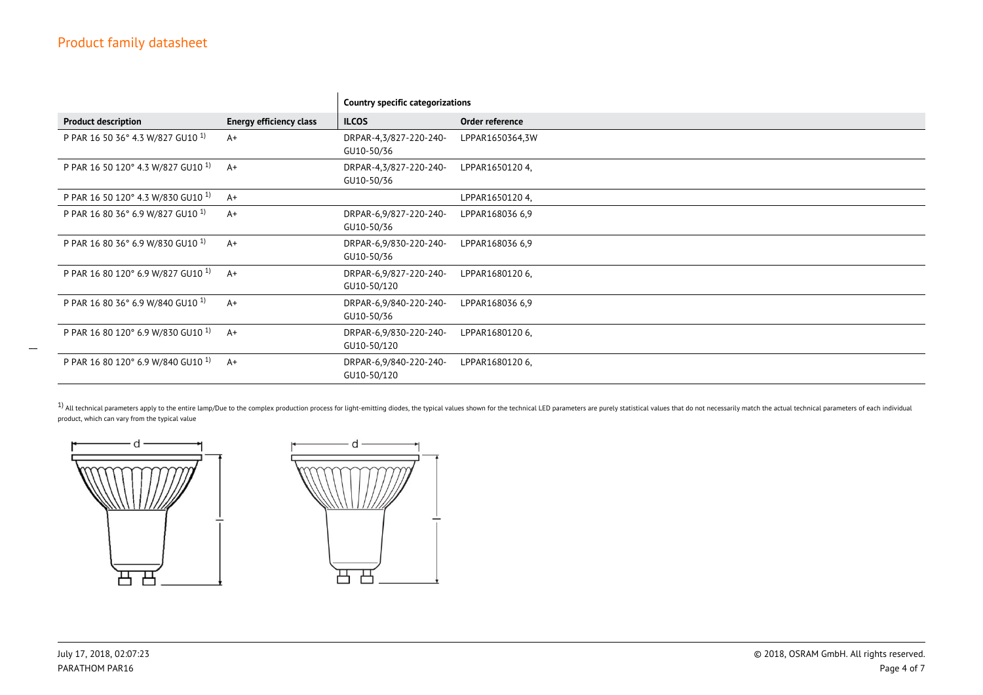|                                               |                                | <b>Country specific categorizations</b> |                 |  |
|-----------------------------------------------|--------------------------------|-----------------------------------------|-----------------|--|
| <b>Product description</b>                    | <b>Energy efficiency class</b> | <b>ILCOS</b>                            | Order reference |  |
| P PAR 16 50 36° 4.3 W/827 GU10 <sup>1)</sup>  | $A+$                           | DRPAR-4,3/827-220-240-<br>GU10-50/36    | LPPAR1650364,3W |  |
| P PAR 16 50 120° 4.3 W/827 GU10 <sup>1)</sup> | $A+$                           | DRPAR-4,3/827-220-240-<br>GU10-50/36    | LPPAR1650120 4, |  |
| P PAR 16 50 120° 4.3 W/830 GU10 <sup>1)</sup> | $A+$                           |                                         | LPPAR1650120 4, |  |
| P PAR 16 80 36° 6.9 W/827 GU10 <sup>1)</sup>  | $A+$                           | DRPAR-6,9/827-220-240-<br>GU10-50/36    | LPPAR168036 6,9 |  |
| P PAR 16 80 36° 6.9 W/830 GU10 <sup>1)</sup>  | $A+$                           | DRPAR-6,9/830-220-240-<br>GU10-50/36    | LPPAR168036 6,9 |  |
| P PAR 16 80 120° 6.9 W/827 GU10 <sup>1)</sup> | $A+$                           | DRPAR-6,9/827-220-240-<br>GU10-50/120   | LPPAR1680120 6. |  |
| P PAR 16 80 36° 6.9 W/840 GU10 <sup>1)</sup>  | $A+$                           | DRPAR-6,9/840-220-240-<br>GU10-50/36    | LPPAR168036 6,9 |  |
| P PAR 16 80 120° 6.9 W/830 GU10 <sup>1)</sup> | $A+$                           | DRPAR-6,9/830-220-240-<br>GU10-50/120   | LPPAR16801206,  |  |
| P PAR 16 80 120° 6.9 W/840 GU10 <sup>1)</sup> | $A+$                           | DRPAR-6,9/840-220-240-<br>GU10-50/120   | LPPAR1680120 6, |  |

 $^{\rm 1)}$  All technical parameters apply to the entire lamp/Due to the complex production process for light-emitting diodes, the typical values shown for the technical LED parameters are purely statistical values that do n product, which can vary from the typical value





 $\mathbf{r}$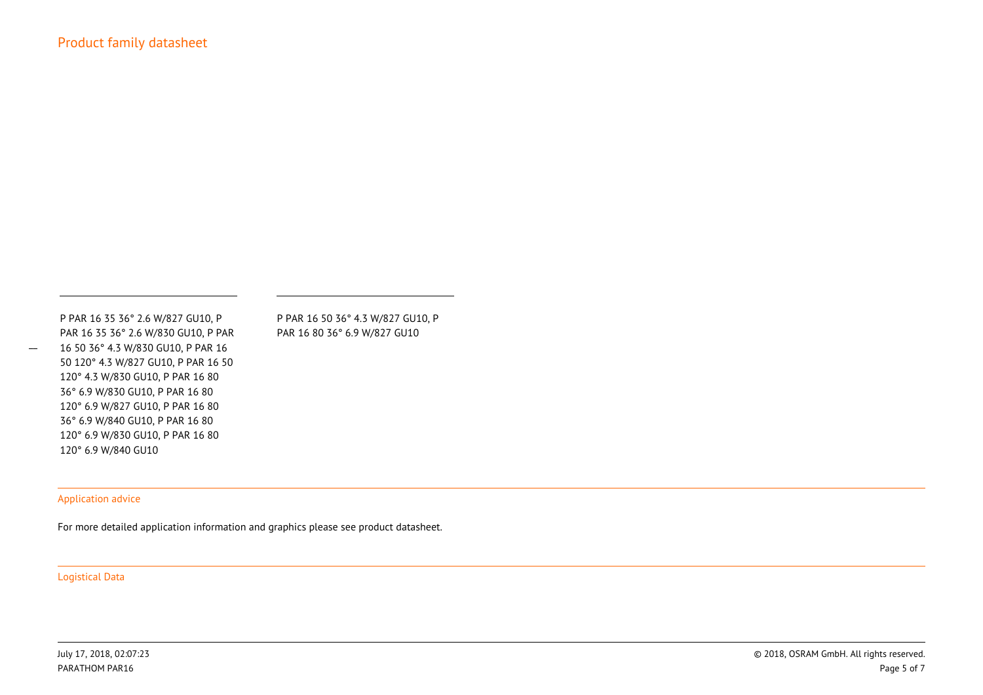P PAR 16 35 36° 2.6 W/827 GU10, P PAR 16 35 36° 2.6 W/830 GU10, P PAR 16 50 36° 4.3 W/830 GU10, P PAR 16 50 120° 4.3 W/827 GU10, P PAR 16 50120° 4.3 W/830 GU10, P PAR 16 80 36° 6.9 W/830 GU10, P PAR 16 80 120° 6.9 W/827 GU10, P PAR 16 80 36° 6.9 W/840 GU10, P PAR 16 80 120° 6.9 W/830 GU10, P PAR 16 80120° 6.9 W/840 GU10

P PAR 16 50 36° 4.3 W/827 GU10, PPAR 16 80 36° 6.9 W/827 GU10

## Application advice

For more detailed application information and graphics please see product datasheet.

Logistical Data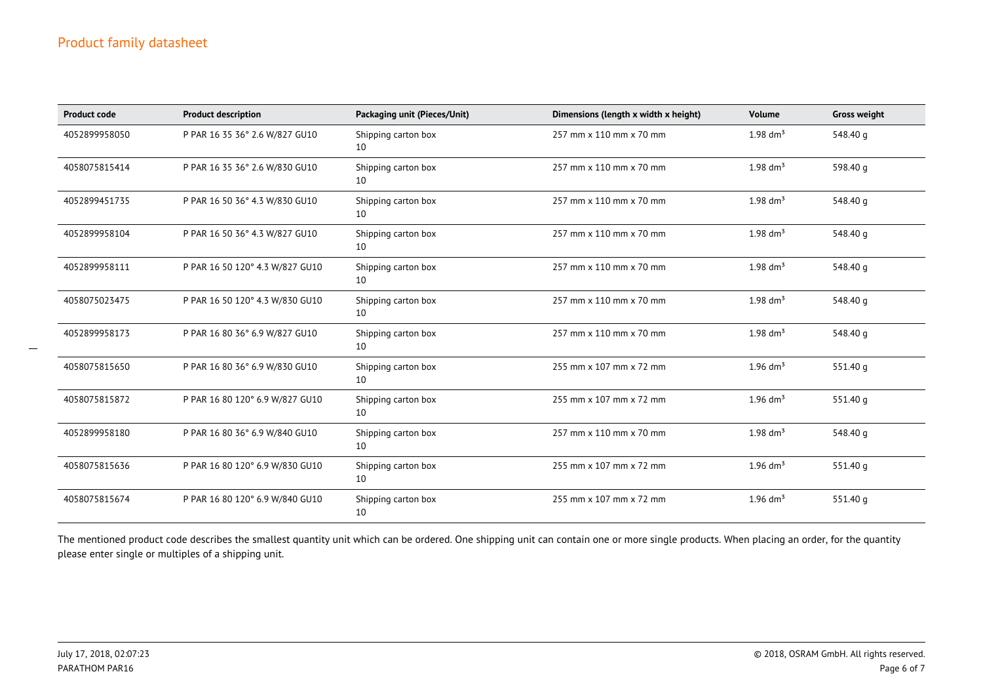| <b>Product code</b> | <b>Product description</b>      | Packaging unit (Pieces/Unit) | Dimensions (length x width x height) | Volume                 | <b>Gross weight</b> |
|---------------------|---------------------------------|------------------------------|--------------------------------------|------------------------|---------------------|
| 4052899958050       | P PAR 16 35 36° 2.6 W/827 GU10  | Shipping carton box<br>10    | 257 mm x 110 mm x 70 mm              | $1.98 \text{ dm}^3$    | 548.40 g            |
| 4058075815414       | P PAR 16 35 36° 2.6 W/830 GU10  | Shipping carton box<br>10    | 257 mm x 110 mm x 70 mm              | 1.98 $\rm{dm^{3}}$     | 598.40 g            |
| 4052899451735       | P PAR 16 50 36° 4.3 W/830 GU10  | Shipping carton box<br>10    | 257 mm x 110 mm x 70 mm              | $1.98 \text{ dm}^3$    | 548.40 g            |
| 4052899958104       | P PAR 16 50 36° 4.3 W/827 GU10  | Shipping carton box<br>10    | 257 mm x 110 mm x 70 mm              | $1.98$ dm <sup>3</sup> | 548.40 g            |
| 4052899958111       | P PAR 16 50 120° 4.3 W/827 GU10 | Shipping carton box<br>10    | 257 mm x 110 mm x 70 mm              | 1.98 $\rm{dm^{3}}$     | 548.40 g            |
| 4058075023475       | P PAR 16 50 120° 4.3 W/830 GU10 | Shipping carton box<br>10    | 257 mm x 110 mm x 70 mm              | $1.98$ dm <sup>3</sup> | 548.40 g            |
| 4052899958173       | P PAR 16 80 36° 6.9 W/827 GU10  | Shipping carton box<br>10    | 257 mm x 110 mm x 70 mm              | 1.98 $\rm{dm^{3}}$     | 548.40 g            |
| 4058075815650       | P PAR 16 80 36° 6.9 W/830 GU10  | Shipping carton box<br>10    | 255 mm x 107 mm x 72 mm              | $1.96$ dm <sup>3</sup> | 551.40 g            |
| 4058075815872       | P PAR 16 80 120° 6.9 W/827 GU10 | Shipping carton box<br>10    | 255 mm x 107 mm x 72 mm              | $1.96$ dm <sup>3</sup> | 551.40 g            |
| 4052899958180       | P PAR 16 80 36° 6.9 W/840 GU10  | Shipping carton box<br>10    | 257 mm x 110 mm x 70 mm              | $1.98 \text{ dm}^3$    | 548.40 g            |
| 4058075815636       | P PAR 16 80 120° 6.9 W/830 GU10 | Shipping carton box<br>10    | 255 mm x 107 mm x 72 mm              | $1.96$ dm <sup>3</sup> | 551.40 g            |
| 4058075815674       | P PAR 16 80 120° 6.9 W/840 GU10 | Shipping carton box<br>10    | 255 mm x 107 mm x 72 mm              | $1.96$ dm <sup>3</sup> | 551.40 g            |

The mentioned product code describes the smallest quantity unit which can be ordered. One shipping unit can contain one or more single products. When placing an order, for the quantityplease enter single or multiples of a shipping unit.